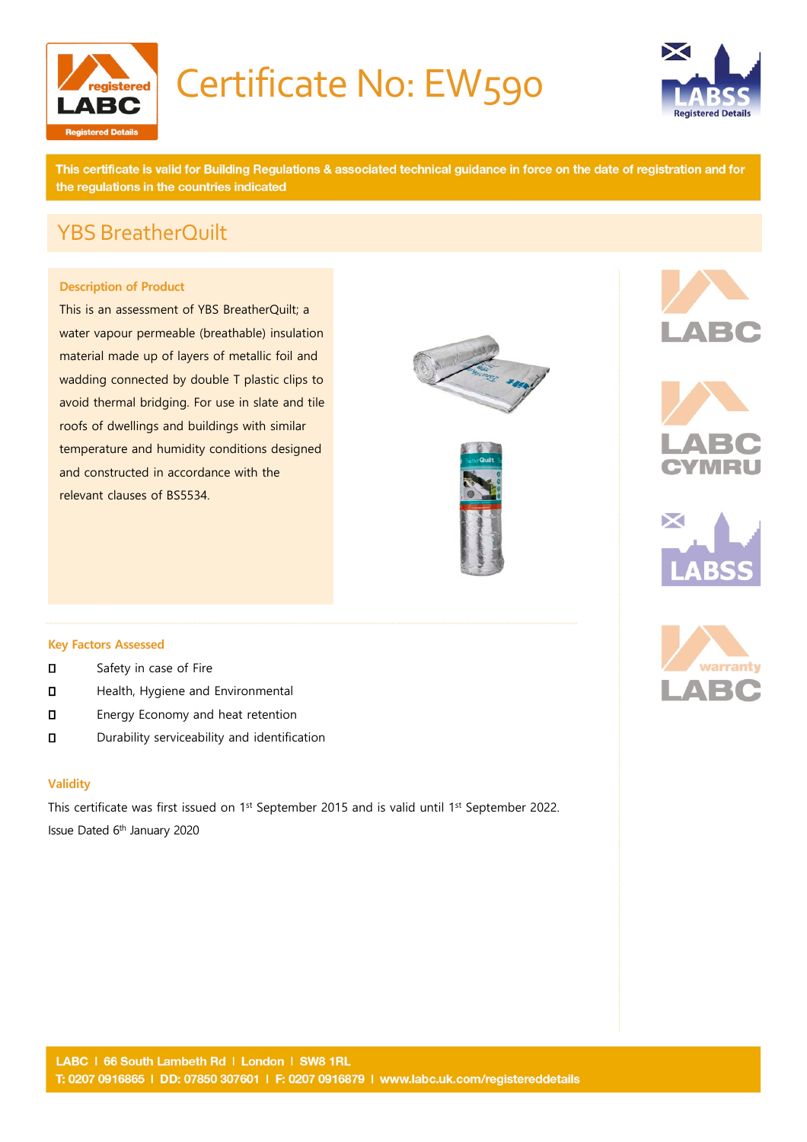

## Certificate No: EW590



This certificate is valid for Building Regulations & associated technical guidance in force on the date of registration and for the regulations in the countries indicated

## YBS BreatherQuilt

#### **Description of Product**

This is an assessment of YBS BreatherQuilt; a water vapour permeable (breathable) insulation material made up of layers of metallic foil and wadding connected by double T plastic clips to avoid thermal bridging. For use in slate and tile roofs of dwellings and buildings with similar temperature and humidity conditions designed and constructed in accordance with the relevant clauses of BS5534.













#### **Key Factors Assessed**

- **D** Safety in case of Fire
- **D** Health, Hygiene and Environmental
- **D** Energy Economy and heat retention
- Durability serviceability and identification

#### **Validity**

This certificate was first issued on 1<sup>st</sup> September 2015 and is valid until 1<sup>st</sup> September 2022. Issue Dated 6th January 2020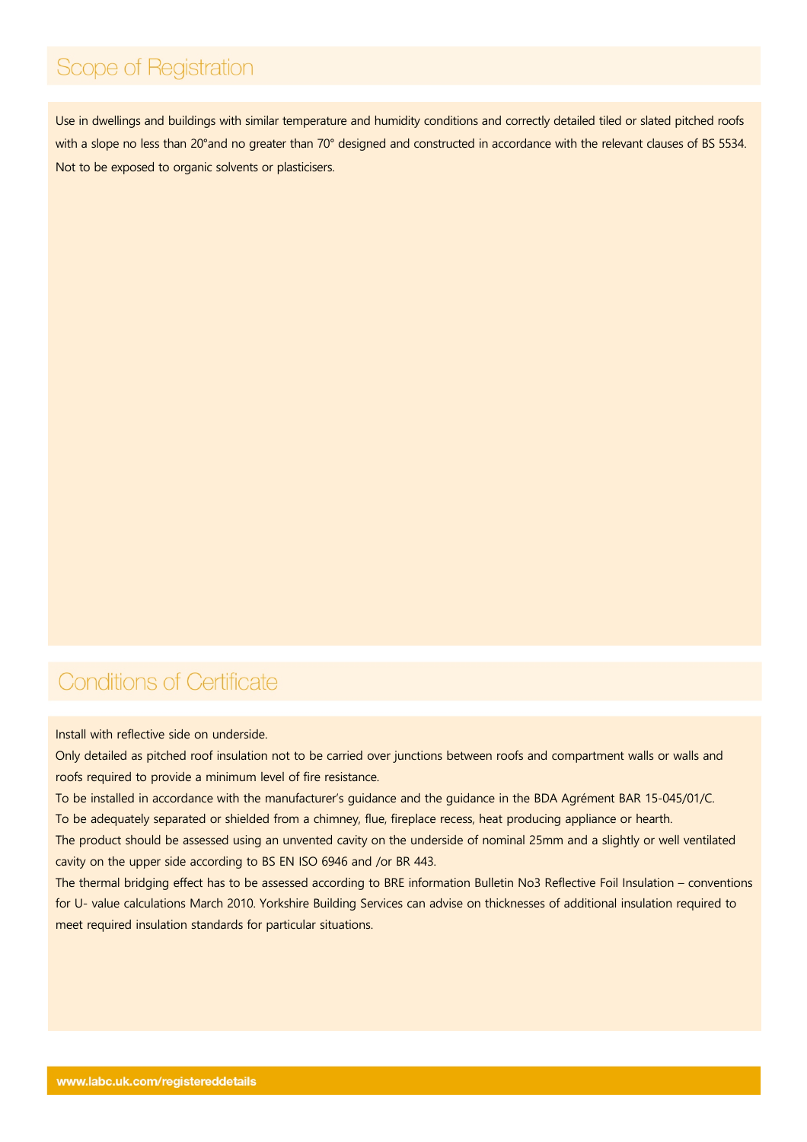## Scope of Registration

Use in dwellings and buildings with similar temperature and humidity conditions and correctly detailed tiled or slated pitched roofs with a slope no less than 20°and no greater than 70° designed and constructed in accordance with the relevant clauses of BS 5534. Not to be exposed to organic solvents or plasticisers.

## **Conditions of Certificate**

Install with reflective side on underside.

Only detailed as pitched roof insulation not to be carried over junctions between roofs and compartment walls or walls and roofs required to provide a minimum level of fire resistance.

To be installed in accordance with the manufacturer's guidance and the guidance in the BDA Agrément BAR 15-045/01/C. To be adequately separated or shielded from a chimney, flue, fireplace recess, heat producing appliance or hearth.

The product should be assessed using an unvented cavity on the underside of nominal 25mm and a slightly or well ventilated cavity on the upper side according to BS EN ISO 6946 and /or BR 443.

The thermal bridging effect has to be assessed according to BRE information Bulletin No3 Reflective Foil Insulation – conventions for U- value calculations March 2010. Yorkshire Building Services can advise on thicknesses of additional insulation required to meet required insulation standards for particular situations.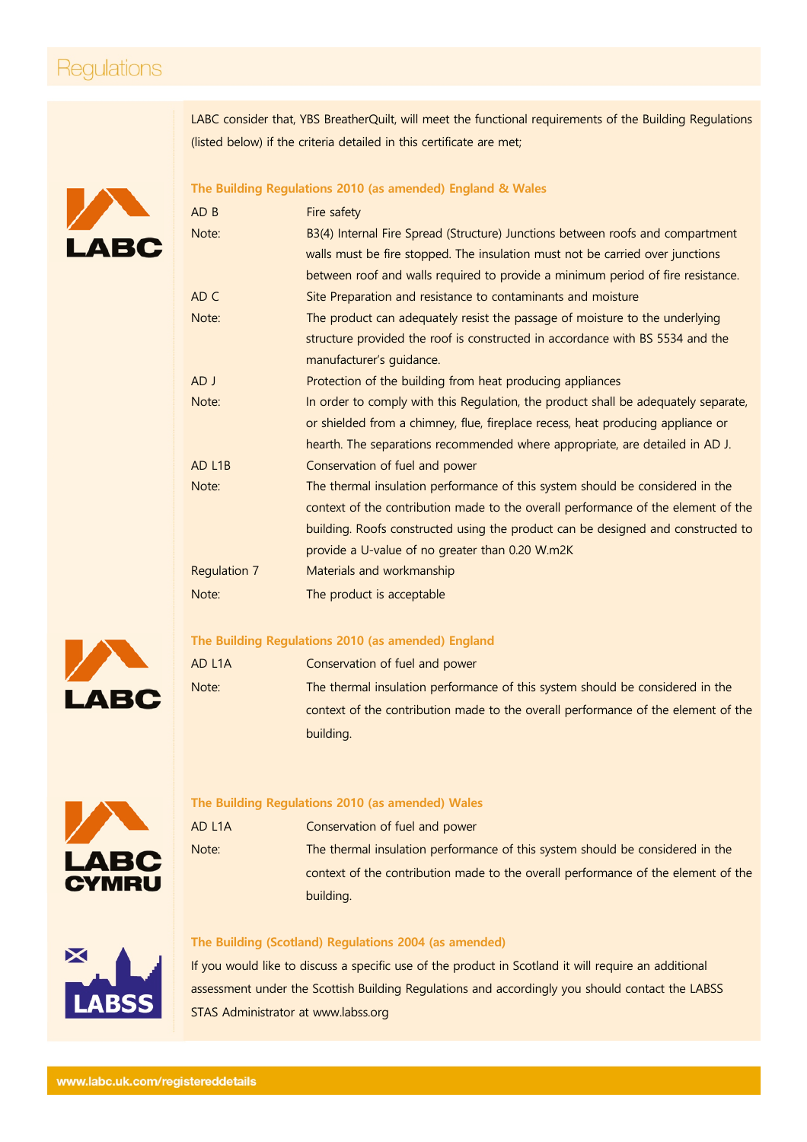## Regulations

LABC consider that, YBS BreatherQuilt, will meet the functional requirements of the Building Regulations (listed below) if the criteria detailed in this certificate are met;

# **ABC**

#### **The Building Regulations 2010 (as amended) England & Wales**

| AD B                | Fire safety                                                                        |
|---------------------|------------------------------------------------------------------------------------|
| Note:               | B3(4) Internal Fire Spread (Structure) Junctions between roofs and compartment     |
|                     | walls must be fire stopped. The insulation must not be carried over junctions      |
|                     | between roof and walls required to provide a minimum period of fire resistance.    |
| AD C                | Site Preparation and resistance to contaminants and moisture                       |
| Note:               | The product can adequately resist the passage of moisture to the underlying        |
|                     | structure provided the roof is constructed in accordance with BS 5534 and the      |
|                     | manufacturer's guidance.                                                           |
| AD J                | Protection of the building from heat producing appliances                          |
| Note:               | In order to comply with this Regulation, the product shall be adequately separate, |
|                     | or shielded from a chimney, flue, fireplace recess, heat producing appliance or    |
|                     | hearth. The separations recommended where appropriate, are detailed in AD J.       |
| AD L <sub>1</sub> B | Conservation of fuel and power                                                     |
| Note:               | The thermal insulation performance of this system should be considered in the      |
|                     | context of the contribution made to the overall performance of the element of the  |
|                     | building. Roofs constructed using the product can be designed and constructed to   |
|                     | provide a U-value of no greater than 0.20 W.m2K                                    |
| Regulation 7        | Materials and workmanship                                                          |
| Note:               | The product is acceptable                                                          |

## **The Building Regulations 2010 (as amended) England**

AD L1A Conservation of fuel and power Note: The thermal insulation performance of this system should be considered in the context of the contribution made to the overall performance of the element of the building.



**LABC** 

#### **The Building Regulations 2010 (as amended) Wales**

| AD L1A | Conservation of fuel and power                                                    |
|--------|-----------------------------------------------------------------------------------|
| Note:  | The thermal insulation performance of this system should be considered in the     |
|        | context of the contribution made to the overall performance of the element of the |
|        | building.                                                                         |



#### **The Building (Scotland) Regulations 2004 (as amended)**

If you would like to discuss a specific use of the product in Scotland it will require an additional assessment under the Scottish Building Regulations and accordingly you should contact the LABSS STAS Administrator at [www.labss.org](http://www.labss.org/)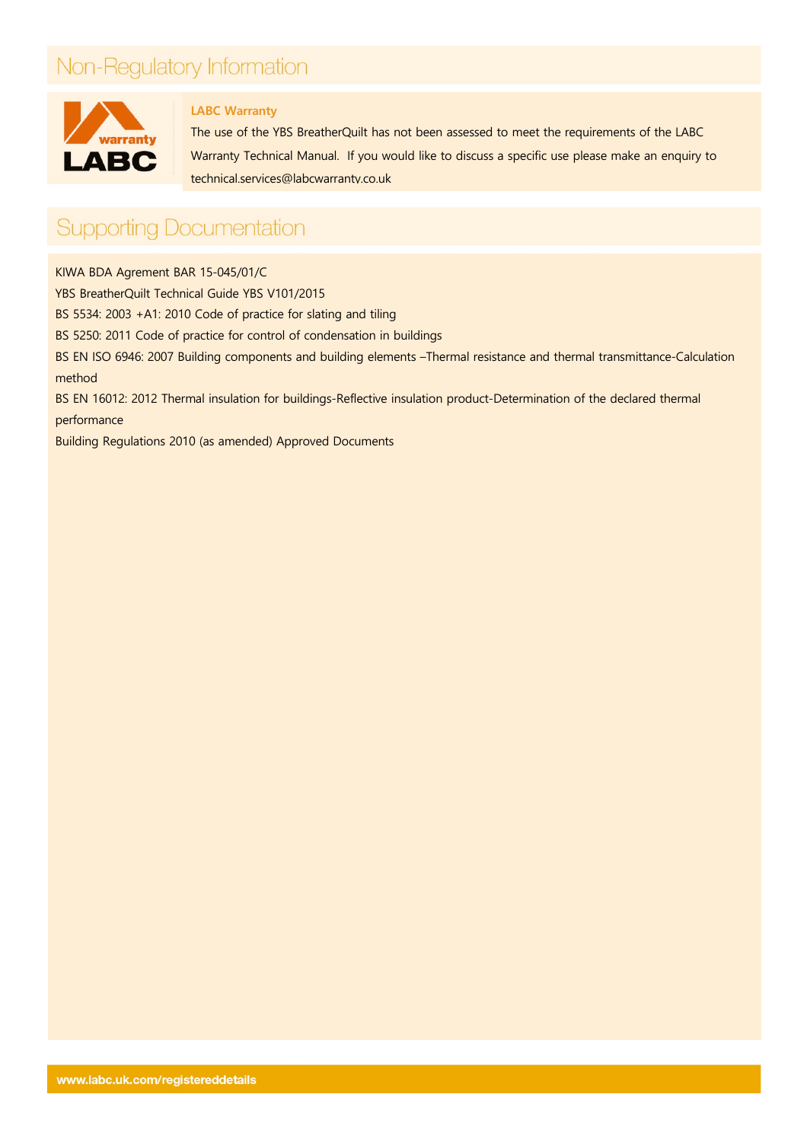## Non-Regulatory Information



#### **LABC Warranty**

The use of the YBS BreatherQuilt has not been assessed to meet the requirements of the LABC Warranty Technical Manual. If you would like to discuss a specific use please make an enquiry to [technical.services@labcwarranty.co.uk](mailto:technical.services@labcwarranty.co.uk)

## **Supporting Documentation**

KIWA BDA Agrement BAR 15-045/01/C

YBS BreatherQuilt Technical Guide YBS V101/2015

BS 5534: 2003 +A1: 2010 Code of practice for slating and tiling

BS 5250: 2011 Code of practice for control of condensation in buildings

BS EN ISO 6946: 2007 Building components and building elements –Thermal resistance and thermal transmittance-Calculation method

BS EN 16012: 2012 Thermal insulation for buildings-Reflective insulation product-Determination of the declared thermal performance

Building Regulations 2010 (as amended) Approved Documents